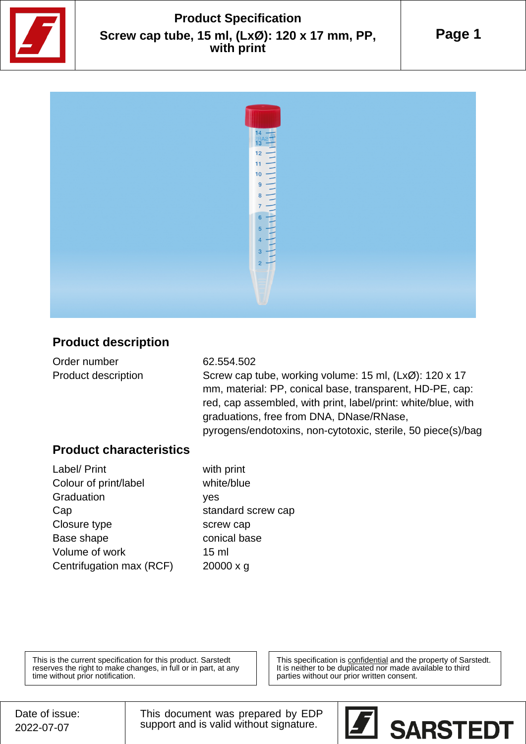

## **Product Specification Screw cap tube, 15 ml, (LxØ): 120 x 17 mm, PP, with print**

**Page 1**



## **Product description**

| Order number        | 62.554.502                                               |
|---------------------|----------------------------------------------------------|
| Product description | Screw cap tube, working volume: 15 ml, (LxØ): 120 x 17   |
|                     | mm, material: PP, conical base, transparent, HD-PE, cap: |

red, cap assembled, with print, label/print: white/blue, with graduations, free from DNA, DNase/RNase, pyrogens/endotoxins, non-cytotoxic, sterile, 50 piece(s)/bag

## **Product characteristics**

| Label/ Print             | with print         |
|--------------------------|--------------------|
| Colour of print/label    | white/blue         |
| Graduation               | yes                |
| Cap                      | standard screw cap |
| Closure type             | screw cap          |
| Base shape               | conical base       |
| Volume of work           | 15 <sub>m</sub>    |
| Centrifugation max (RCF) | $20000 \times q$   |
|                          |                    |

This is the current specification for this product. Sarstedt reserves the right to make changes, in full or in part, at any time without prior notification.

This specification is confidential and the property of Sarstedt. It is neither to be duplicated nor made available to third parties without our prior written consent.

This document was prepared by EDP support and is valid without signature.